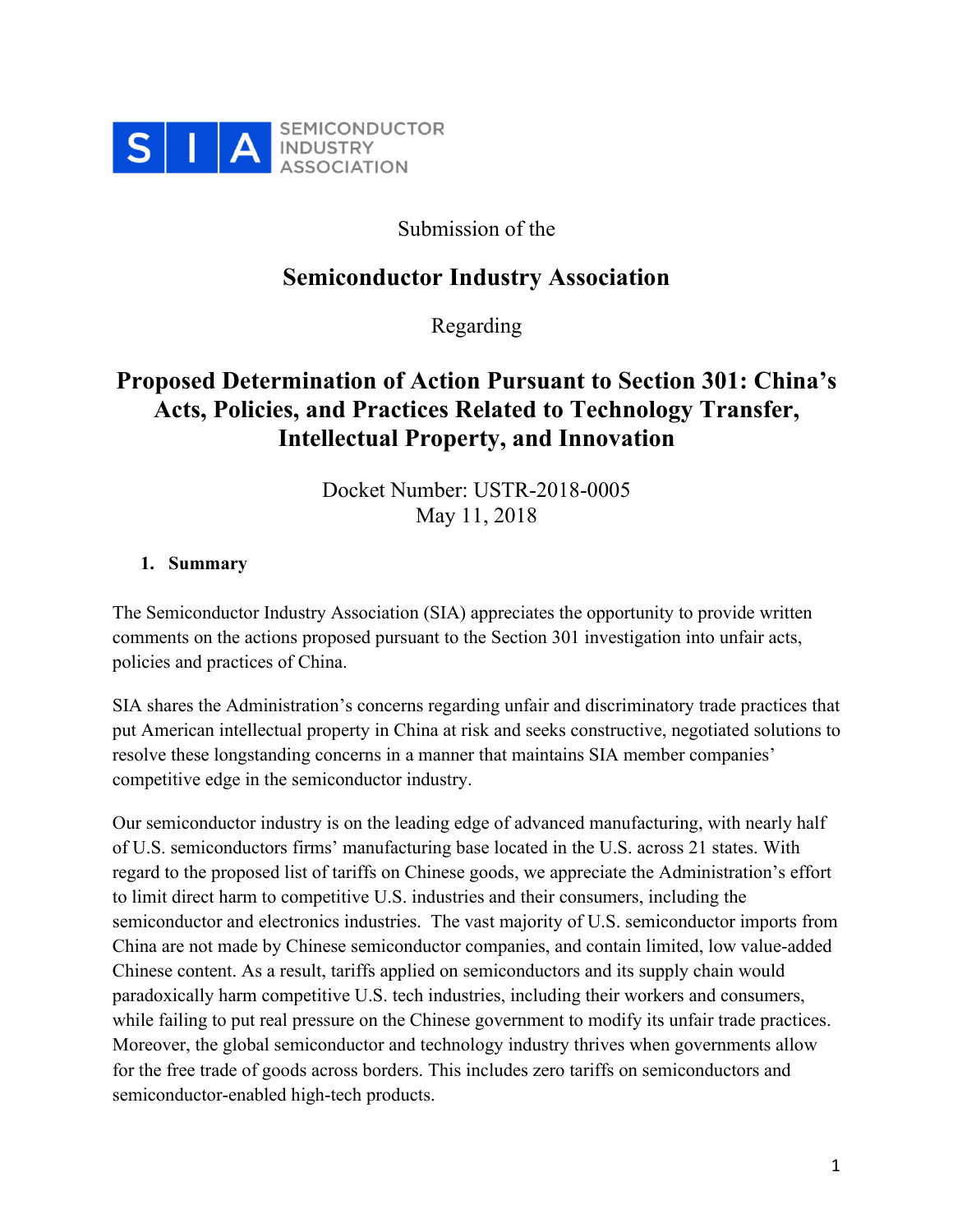

Submission of the

### **Semiconductor Industry Association**

Regarding

## **Proposed Determination of Action Pursuant to Section 301: China's Acts, Policies, and Practices Related to Technology Transfer, Intellectual Property, and Innovation**

Docket Number: USTR-2018-0005 May 11, 2018

#### **1. Summary**

The Semiconductor Industry Association (SIA) appreciates the opportunity to provide written comments on the actions proposed pursuant to the Section 301 investigation into unfair acts, policies and practices of China.

SIA shares the Administration's concerns regarding unfair and discriminatory trade practices that put American intellectual property in China at risk and seeks constructive, negotiated solutions to resolve these longstanding concerns in a manner that maintains SIA member companies' competitive edge in the semiconductor industry.

Our semiconductor industry is on the leading edge of advanced manufacturing, with nearly half of U.S. semiconductors firms' manufacturing base located in the U.S. across 21 states. With regard to the proposed list of tariffs on Chinese goods, we appreciate the Administration's effort to limit direct harm to competitive U.S. industries and their consumers, including the semiconductor and electronics industries. The vast majority of U.S. semiconductor imports from China are not made by Chinese semiconductor companies, and contain limited, low value-added Chinese content. As a result, tariffs applied on semiconductors and its supply chain would paradoxically harm competitive U.S. tech industries, including their workers and consumers, while failing to put real pressure on the Chinese government to modify its unfair trade practices. Moreover, the global semiconductor and technology industry thrives when governments allow for the free trade of goods across borders. This includes zero tariffs on semiconductors and semiconductor-enabled high-tech products.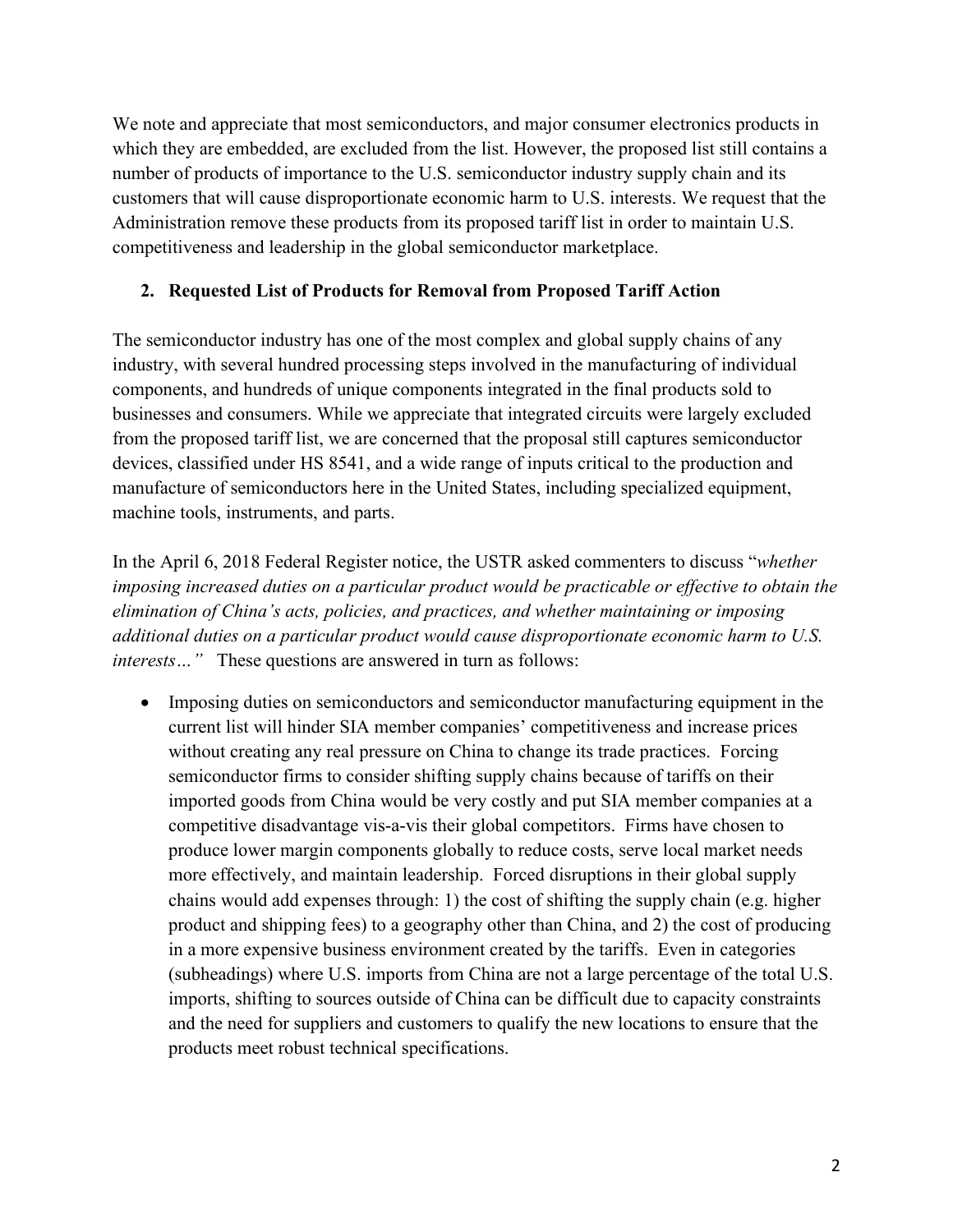We note and appreciate that most semiconductors, and major consumer electronics products in which they are embedded, are excluded from the list. However, the proposed list still contains a number of products of importance to the U.S. semiconductor industry supply chain and its customers that will cause disproportionate economic harm to U.S. interests. We request that the Administration remove these products from its proposed tariff list in order to maintain U.S. competitiveness and leadership in the global semiconductor marketplace.

#### **2. Requested List of Products for Removal from Proposed Tariff Action**

The semiconductor industry has one of the most complex and global supply chains of any industry, with several hundred processing steps involved in the manufacturing of individual components, and hundreds of unique components integrated in the final products sold to businesses and consumers. While we appreciate that integrated circuits were largely excluded from the proposed tariff list, we are concerned that the proposal still captures semiconductor devices, classified under HS 8541, and a wide range of inputs critical to the production and manufacture of semiconductors here in the United States, including specialized equipment, machine tools, instruments, and parts.

In the April 6, 2018 Federal Register notice, the USTR asked commenters to discuss "*whether imposing increased duties on a particular product would be practicable or effective to obtain the elimination of China's acts, policies, and practices, and whether maintaining or imposing additional duties on a particular product would cause disproportionate economic harm to U.S. interests* ... " These questions are answered in turn as follows:

• Imposing duties on semiconductors and semiconductor manufacturing equipment in the current list will hinder SIA member companies' competitiveness and increase prices without creating any real pressure on China to change its trade practices. Forcing semiconductor firms to consider shifting supply chains because of tariffs on their imported goods from China would be very costly and put SIA member companies at a competitive disadvantage vis-a-vis their global competitors. Firms have chosen to produce lower margin components globally to reduce costs, serve local market needs more effectively, and maintain leadership. Forced disruptions in their global supply chains would add expenses through: 1) the cost of shifting the supply chain (e.g. higher product and shipping fees) to a geography other than China, and 2) the cost of producing in a more expensive business environment created by the tariffs. Even in categories (subheadings) where U.S. imports from China are not a large percentage of the total U.S. imports, shifting to sources outside of China can be difficult due to capacity constraints and the need for suppliers and customers to qualify the new locations to ensure that the products meet robust technical specifications.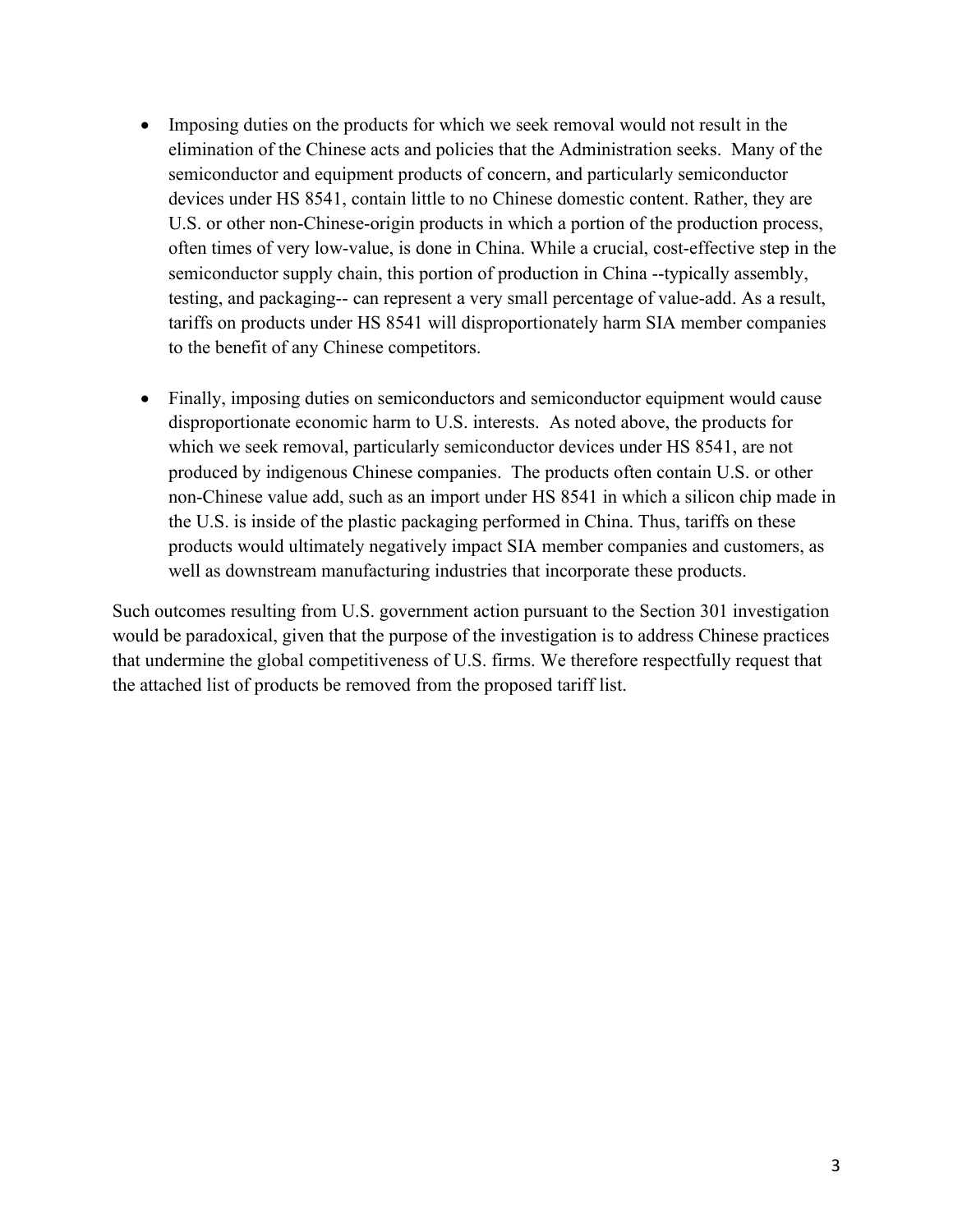- Imposing duties on the products for which we seek removal would not result in the elimination of the Chinese acts and policies that the Administration seeks. Many of the semiconductor and equipment products of concern, and particularly semiconductor devices under HS 8541, contain little to no Chinese domestic content. Rather, they are U.S. or other non-Chinese-origin products in which a portion of the production process, often times of very low-value, is done in China. While a crucial, cost-effective step in the semiconductor supply chain, this portion of production in China --typically assembly, testing, and packaging-- can represent a very small percentage of value-add. As a result, tariffs on products under HS 8541 will disproportionately harm SIA member companies to the benefit of any Chinese competitors.
- Finally, imposing duties on semiconductors and semiconductor equipment would cause disproportionate economic harm to U.S. interests. As noted above, the products for which we seek removal, particularly semiconductor devices under HS 8541, are not produced by indigenous Chinese companies. The products often contain U.S. or other non-Chinese value add, such as an import under HS 8541 in which a silicon chip made in the U.S. is inside of the plastic packaging performed in China. Thus, tariffs on these products would ultimately negatively impact SIA member companies and customers, as well as downstream manufacturing industries that incorporate these products.

Such outcomes resulting from U.S. government action pursuant to the Section 301 investigation would be paradoxical, given that the purpose of the investigation is to address Chinese practices that undermine the global competitiveness of U.S. firms. We therefore respectfully request that the attached list of products be removed from the proposed tariff list.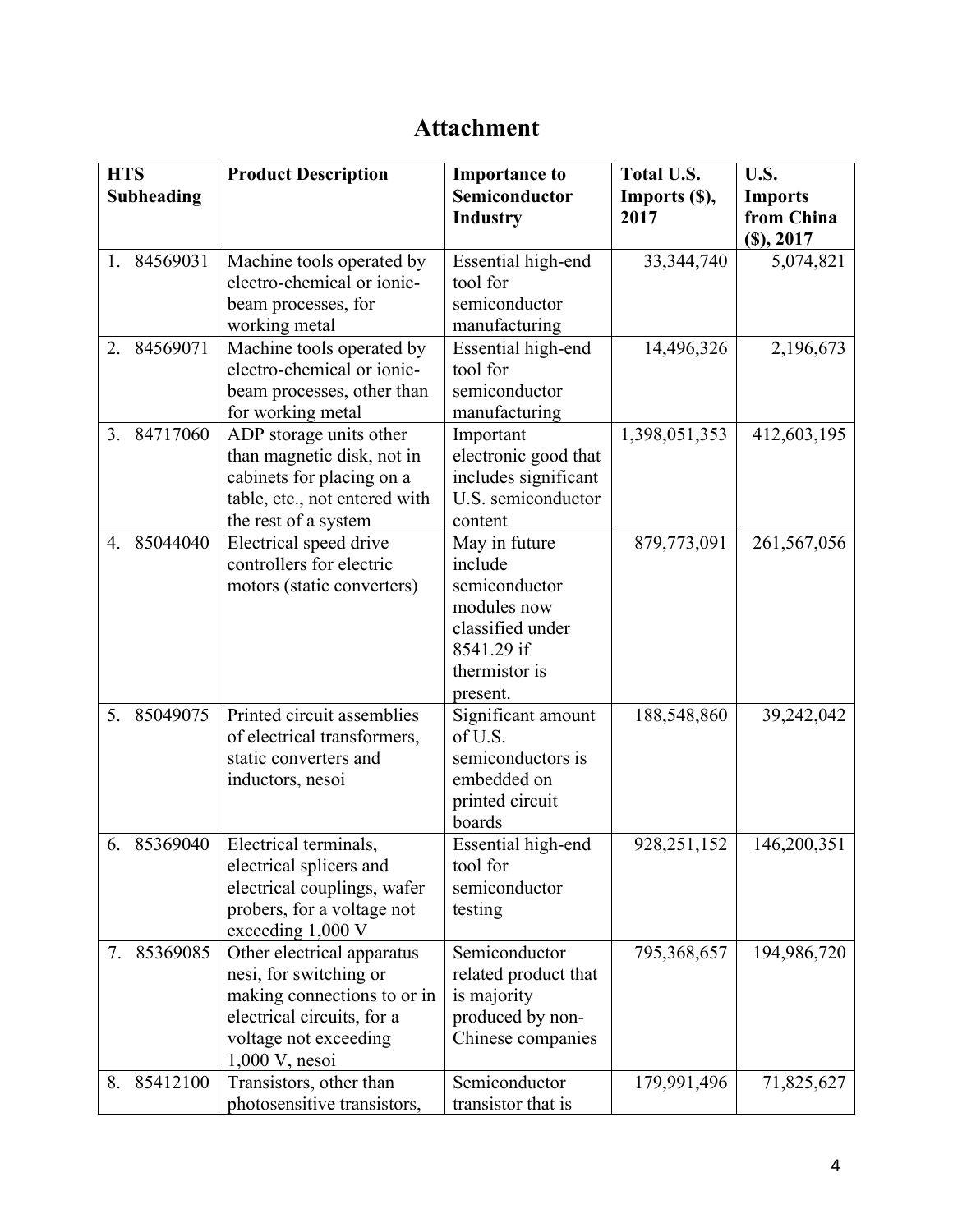# **Attachment**

| <b>HTS</b><br>Subheading | <b>Product Description</b>                                                                                                                                     | <b>Importance to</b><br>Semiconductor<br><b>Industry</b>                                                                | <b>Total U.S.</b><br>Imports (\$),<br>2017 | U.S.<br><b>Imports</b><br>from China<br>(S), 2017 |
|--------------------------|----------------------------------------------------------------------------------------------------------------------------------------------------------------|-------------------------------------------------------------------------------------------------------------------------|--------------------------------------------|---------------------------------------------------|
| 84569031<br>1.           | Machine tools operated by<br>electro-chemical or ionic-<br>beam processes, for<br>working metal                                                                | Essential high-end<br>tool for<br>semiconductor<br>manufacturing                                                        | 33, 344, 740                               | 5,074,821                                         |
| 84569071<br>2.           | Machine tools operated by<br>electro-chemical or ionic-<br>beam processes, other than<br>for working metal                                                     | Essential high-end<br>tool for<br>semiconductor<br>manufacturing                                                        | 14,496,326                                 | 2,196,673                                         |
| 84717060<br>3.           | ADP storage units other<br>than magnetic disk, not in<br>cabinets for placing on a<br>table, etc., not entered with<br>the rest of a system                    | Important<br>electronic good that<br>includes significant<br>U.S. semiconductor<br>content                              | 1,398,051,353                              | 412,603,195                                       |
| 4. 85044040              | Electrical speed drive<br>controllers for electric<br>motors (static converters)                                                                               | May in future<br>include<br>semiconductor<br>modules now<br>classified under<br>8541.29 if<br>thermistor is<br>present. | 879,773,091                                | 261,567,056                                       |
| 5.<br>85049075           | Printed circuit assemblies<br>of electrical transformers,<br>static converters and<br>inductors, nesoi                                                         | Significant amount<br>of U.S.<br>semiconductors is<br>embedded on<br>printed circuit<br>boards                          | 188,548,860                                | 39,242,042                                        |
| 6. 85369040              | Electrical terminals,<br>electrical splicers and<br>electrical couplings, wafer<br>probers, for a voltage not<br>exceeding 1,000 V                             | Essential high-end<br>tool for<br>semiconductor<br>testing                                                              | 928, 251, 152                              | 146,200,351                                       |
| 85369085<br>7.           | Other electrical apparatus<br>nesi, for switching or<br>making connections to or in<br>electrical circuits, for a<br>voltage not exceeding<br>$1,000$ V, nesoi | Semiconductor<br>related product that<br>is majority<br>produced by non-<br>Chinese companies                           | 795,368,657                                | 194,986,720                                       |
| 85412100<br>8.           | Transistors, other than<br>photosensitive transistors,                                                                                                         | Semiconductor<br>transistor that is                                                                                     | 179,991,496                                | 71,825,627                                        |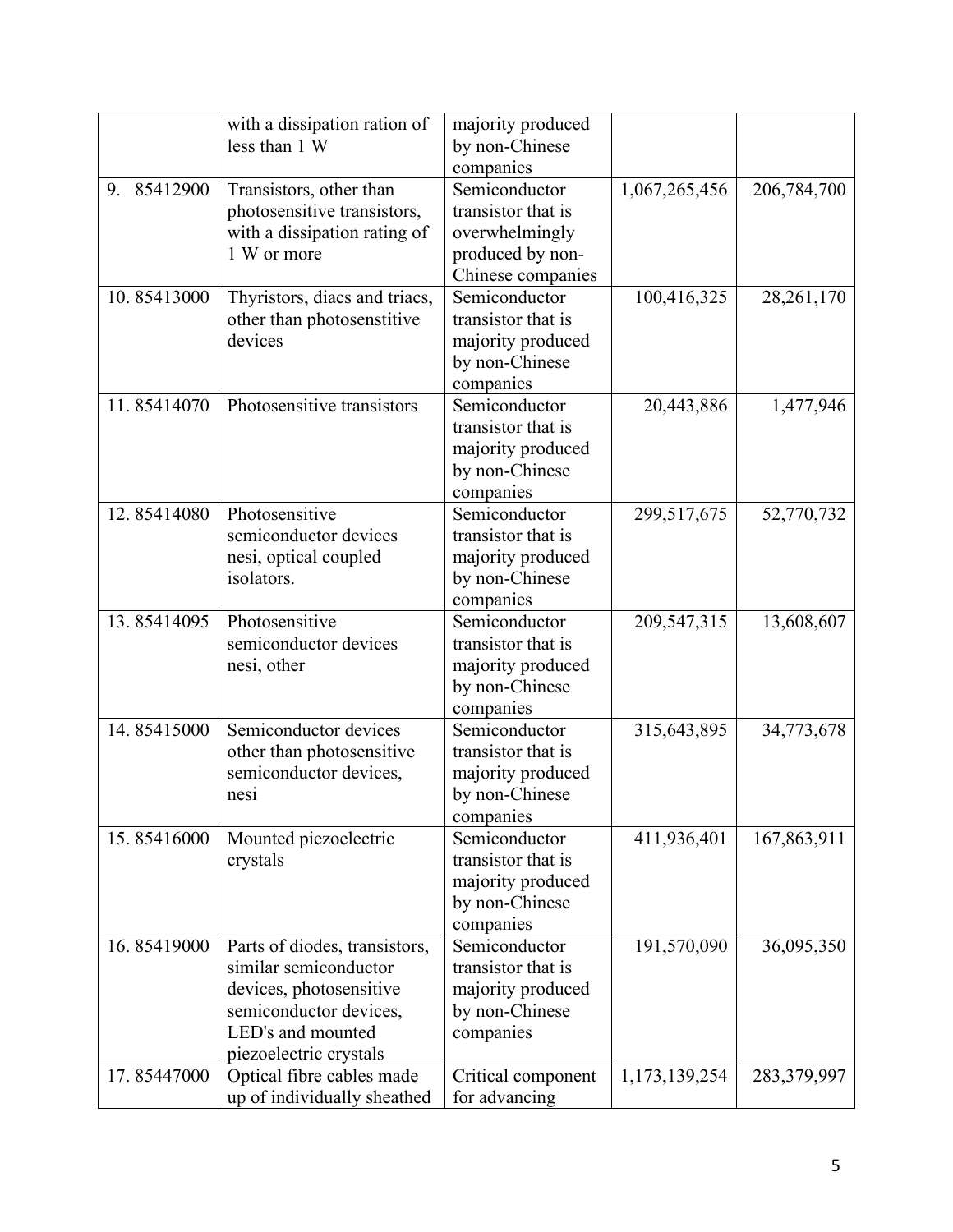|             | with a dissipation ration of<br>less than 1 W                                                                                                              | majority produced<br>by non-Chinese<br>companies                                               |               |             |
|-------------|------------------------------------------------------------------------------------------------------------------------------------------------------------|------------------------------------------------------------------------------------------------|---------------|-------------|
| 9. 85412900 | Transistors, other than<br>photosensitive transistors,<br>with a dissipation rating of<br>1 W or more                                                      | Semiconductor<br>transistor that is<br>overwhelmingly<br>produced by non-<br>Chinese companies | 1,067,265,456 | 206,784,700 |
| 10.85413000 | Thyristors, diacs and triacs,<br>other than photosenstitive<br>devices                                                                                     | Semiconductor<br>transistor that is<br>majority produced<br>by non-Chinese<br>companies        | 100,416,325   | 28,261,170  |
| 11.85414070 | Photosensitive transistors                                                                                                                                 | Semiconductor<br>transistor that is<br>majority produced<br>by non-Chinese<br>companies        | 20,443,886    | 1,477,946   |
| 12.85414080 | Photosensitive<br>semiconductor devices<br>nesi, optical coupled<br>isolators.                                                                             | Semiconductor<br>transistor that is<br>majority produced<br>by non-Chinese<br>companies        | 299,517,675   | 52,770,732  |
| 13.85414095 | Photosensitive<br>semiconductor devices<br>nesi, other                                                                                                     | Semiconductor<br>transistor that is<br>majority produced<br>by non-Chinese<br>companies        | 209,547,315   | 13,608,607  |
| 14.85415000 | Semiconductor devices<br>other than photosensitive<br>semiconductor devices,<br>nesi                                                                       | Semiconductor<br>transistor that is<br>majority produced<br>by non-Chinese<br>companies        | 315,643,895   | 34,773,678  |
| 15.85416000 | Mounted piezoelectric<br>crystals                                                                                                                          | Semiconductor<br>transistor that is<br>majority produced<br>by non-Chinese<br>companies        | 411,936,401   | 167,863,911 |
| 16.85419000 | Parts of diodes, transistors,<br>similar semiconductor<br>devices, photosensitive<br>semiconductor devices,<br>LED's and mounted<br>piezoelectric crystals | Semiconductor<br>transistor that is<br>majority produced<br>by non-Chinese<br>companies        | 191,570,090   | 36,095,350  |
| 17.85447000 | Optical fibre cables made<br>up of individually sheathed                                                                                                   | Critical component<br>for advancing                                                            | 1,173,139,254 | 283,379,997 |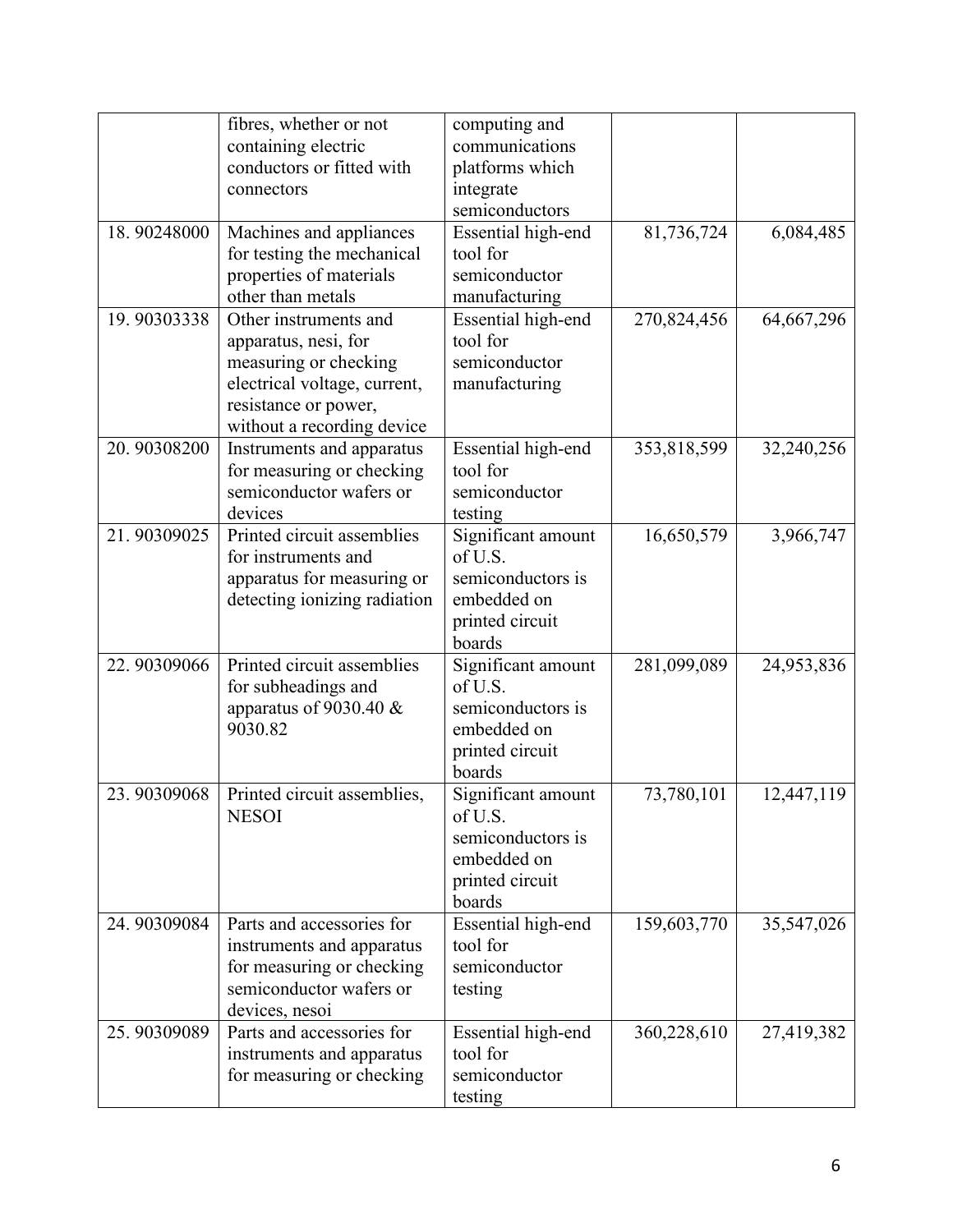|             | fibres, whether or not<br>containing electric<br>conductors or fitted with<br>connectors                                                                     | computing and<br>communications<br>platforms which<br>integrate<br>semiconductors              |             |            |
|-------------|--------------------------------------------------------------------------------------------------------------------------------------------------------------|------------------------------------------------------------------------------------------------|-------------|------------|
| 18.90248000 | Machines and appliances<br>for testing the mechanical<br>properties of materials<br>other than metals                                                        | Essential high-end<br>tool for<br>semiconductor<br>manufacturing                               | 81,736,724  | 6,084,485  |
| 19.90303338 | Other instruments and<br>apparatus, nesi, for<br>measuring or checking<br>electrical voltage, current,<br>resistance or power,<br>without a recording device | Essential high-end<br>tool for<br>semiconductor<br>manufacturing                               | 270,824,456 | 64,667,296 |
| 20.90308200 | Instruments and apparatus<br>for measuring or checking<br>semiconductor wafers or<br>devices                                                                 | Essential high-end<br>tool for<br>semiconductor<br>testing                                     | 353,818,599 | 32,240,256 |
| 21.90309025 | Printed circuit assemblies<br>for instruments and<br>apparatus for measuring or<br>detecting ionizing radiation                                              | Significant amount<br>of U.S.<br>semiconductors is<br>embedded on<br>printed circuit<br>boards | 16,650,579  | 3,966,747  |
| 22.90309066 | Printed circuit assemblies<br>for subheadings and<br>apparatus of 9030.40 $&$<br>9030.82                                                                     | Significant amount<br>of U.S.<br>semiconductors is<br>embedded on<br>printed circuit<br>boards | 281,099,089 | 24,953,836 |
| 23.90309068 | Printed circuit assemblies,<br><b>NESOI</b>                                                                                                                  | Significant amount<br>of U.S.<br>semiconductors is<br>embedded on<br>printed circuit<br>boards | 73,780,101  | 12,447,119 |
| 24.90309084 | Parts and accessories for<br>instruments and apparatus<br>for measuring or checking<br>semiconductor wafers or<br>devices, nesoi                             | Essential high-end<br>tool for<br>semiconductor<br>testing                                     | 159,603,770 | 35,547,026 |
| 25.90309089 | Parts and accessories for<br>instruments and apparatus<br>for measuring or checking                                                                          | Essential high-end<br>tool for<br>semiconductor<br>testing                                     | 360,228,610 | 27,419,382 |